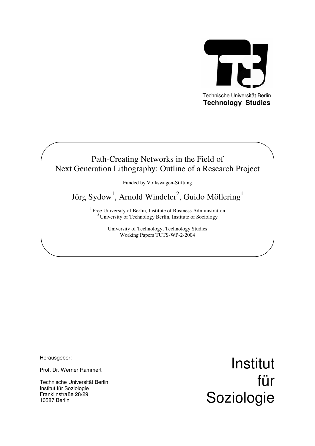

# Path-Creating Networks in the Field of Next Generation Lithography: Outline of a Research Project

Funded by Volkswagen-Stiftung

Jörg Sydow<sup>1</sup>, Arnold Windeler<sup>2</sup>, Guido Möllering<sup>1</sup>

<sup>1</sup> Free University of Berlin, Institute of Business Administration <sup>2</sup> University of Technology Berlin, Institute of Sociology

> University of Technology, Technology Studies Working Papers TUTS-WP-2-2004

Herausgeber:

Prof. Dr. Werner Rammert

Technische Universität Berlin Institut für Soziologie Franklinstraße 28/29 10587 Berlin

Institut für Soziologie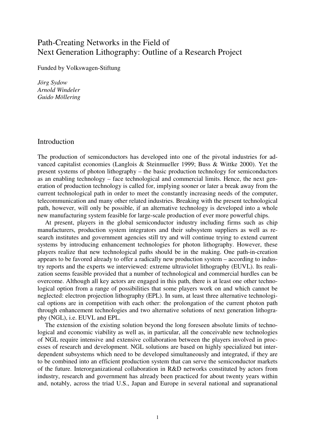## Path-Creating Networks in the Field of Next Generation Lithography: Outline of a Research Project

Funded by Volkswagen-Stiftung

*Jörg Sydow Arnold Windeler Guido Möllering* 

### Introduction

The production of semiconductors has developed into one of the pivotal industries for advanced capitalist economies (Langlois & Steinmueller 1999; Buss & Wittke 2000). Yet the present systems of photon lithography – the basic production technology for semiconductors as an enabling technology – face technological and commercial limits. Hence, the next generation of production technology is called for, implying sooner or later a break away from the current technological path in order to meet the constantly increasing needs of the computer, telecommunication and many other related industries. Breaking with the present technological path, however, will only be possible, if an alternative technology is developed into a whole new manufacturing system feasible for large-scale production of ever more powerful chips.

At present, players in the global semiconductor industry including firms such as chip manufacturers, production system integrators and their subsystem suppliers as well as research institutes and government agencies still try and will continue trying to extend current systems by introducing enhancement technologies for photon lithography. However, these players realize that new technological paths should be in the making. One path-in-creation appears to be favored already to offer a radically new production system – according to industry reports and the experts we interviewed: extreme ultraviolet lithography (EUVL). Its realization seems feasible provided that a number of technological and commercial hurdles can be overcome. Although all key actors are engaged in this path, there is at least one other technological option from a range of possibilities that some players work on and which cannot be neglected: electron projection lithography (EPL). In sum, at least three alternative technological options are in competition with each other: the prolongation of the current photon path through enhancement technologies and two alternative solutions of next generation lithography (NGL), i.e. EUVL and EPL.

The extension of the existing solution beyond the long foreseen absolute limits of technological and economic viability as well as, in particular, all the conceivable new technologies of NGL require intensive and extensive collaboration between the players involved in processes of research and development. NGL solutions are based on highly specialized but interdependent subsystems which need to be developed simultaneously and integrated, if they are to be combined into an efficient production system that can serve the semiconductor markets of the future. Interorganizational collaboration in R&D networks constituted by actors from industry, research and government has already been practiced for about twenty years within and, notably, across the triad U.S., Japan and Europe in several national and supranational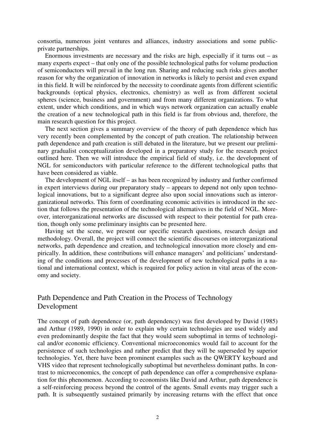consortia, numerous joint ventures and alliances, industry associations and some publicprivate partnerships.

Enormous investments are necessary and the risks are high, especially if it turns out  $-$  as many experts expect – that only one of the possible technological paths for volume production of semiconductors will prevail in the long run. Sharing and reducing such risks gives another reason for why the organization of innovation in networks is likely to persist and even expand in this field. It will be reinforced by the necessity to coordinate agents from different scientific backgrounds (optical physics, electronics, chemistry) as well as from different societal spheres (science, business and government) and from many different organizations. To what extent, under which conditions, and in which ways network organization can actually enable the creation of a new technological path in this field is far from obvious and, therefore, the main research question for this project.

The next section gives a summary overview of the theory of path dependence which has very recently been complemented by the concept of path creation. The relationship between path dependence and path creation is still debated in the literature, but we present our preliminary gradualist conceptualization developed in a preparatory study for the research project outlined here. Then we will introduce the empirical field of study, i.e. the development of NGL for semiconductors with particular reference to the different technological paths that have been considered as viable.

The development of NGL itself – as has been recognized by industry and further confirmed in expert interviews during our preparatory study – appears to depend not only upon technological innovations, but to a significant degree also upon social innovations such as interorganizational networks. This form of coordinating economic activities is introduced in the section that follows the presentation of the technological alternatives in the field of NGL. Moreover, interorganizational networks are discussed with respect to their potential for path creation, though only some preliminary insights can be presented here.

Having set the scene, we present our specific research questions, research design and methodology. Overall, the project will connect the scientific discourses on interorganizational networks, path dependence and creation, and technological innovation more closely and empirically. In addition, these contributions will enhance managers' and politicians' understanding of the conditions and processes of the development of new technological paths in a national and international context, which is required for policy action in vital areas of the economy and society.

### Path Dependence and Path Creation in the Process of Technology Development

The concept of path dependence (or, path dependency) was first developed by David (1985) and Arthur (1989, 1990) in order to explain why certain technologies are used widely and even predominantly despite the fact that they would seem suboptimal in terms of technological and/or economic efficiency. Conventional microeconomics would fail to account for the persistence of such technologies and rather predict that they will be superseded by superior technologies. Yet, there have been prominent examples such as the QWERTY keyboard and VHS video that represent technologically suboptimal but nevertheless dominant paths. In contrast to microeconomics, the concept of path dependence can offer a comprehensive explanation for this phenomenon. According to economists like David and Arthur, path dependence is a self-reinforcing process beyond the control of the agents. Small events may trigger such a path. It is subsequently sustained primarily by increasing returns with the effect that once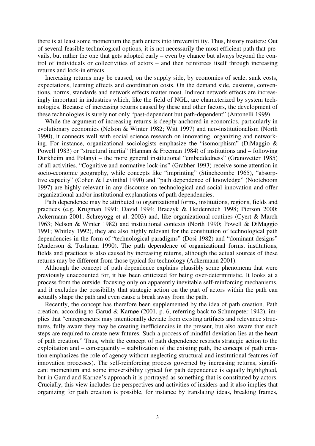there is at least some momentum the path enters into irreversibility. Thus, history matters: Out of several feasible technological options, it is not necessarily the most efficient path that prevails, but rather the one that gets adopted early – even by chance but always beyond the control of individuals or collectivities of actors – and then reinforces itself through increasing returns and lock-in effects.

Increasing returns may be caused, on the supply side, by economies of scale, sunk costs, expectations, learning effects and coordination costs. On the demand side, customs, conventions, norms, standards and network effects matter most. Indirect network effects are increasingly important in industries which, like the field of NGL, are characterized by system technologies. Because of increasing returns caused by these and other factors, the development of these technologies is surely not only "past-dependent but path-dependent" (Antonelli 1999).

While the argument of increasing returns is deeply anchored in economics, particularly in evolutionary economics (Nelson & Winter 1982; Witt 1997) and neo-institutionalism (North 1990), it connects well with social science research on innovating, organizing and networking. For instance, organizational sociologists emphasize the "isomorphism" (DiMaggio & Powell 1983) or "structural inertia" (Hannan & Freeman 1984) of institutions and – following Durkheim and Polanyi – the more general institutional "embeddedness" (Granovetter 1985) of all activities. "Cognitive and normative lock-ins" (Grabher 1993) receive some attention in socio-economic geography, while concepts like "imprinting" (Stinchcombe 1965), "absorptive capacity" (Cohen & Levinthal 1990) and "path dependence of knowledge" (Nooteboom 1997) are highly relevant in any discourse on technological and social innovation and offer organizational and/or institutional explanations of path dependencies.

Path dependence may be attributed to organizational forms, institutions, regions, fields and practices (e.g. Krugman 1991; David 1994; Braczyk & Heidenreich 1998; Pierson 2000; Ackermann 2001; Schreyögg et al. 2003) and, like organizational routines (Cyert & March 1963; Nelson & Winter 1982) and institutional contexts (North 1990; Powell & DiMaggio 1991; Whitley 1992), they are also highly relevant for the constitution of technological path dependencies in the form of "technological paradigms" (Dosi 1982) and "dominant designs" (Anderson & Tushman 1990). The path dependence of organizational forms, institutions, fields and practices is also caused by increasing returns, although the actual sources of these returns may be different from those typical for technology (Ackermann 2001).

Although the concept of path dependence explains plausibly some phenomena that were previously unaccounted for, it has been criticized for being over-deterministic. It looks at a process from the outside, focusing only on apparently inevitable self-reinforcing mechanisms, and it excludes the possibility that strategic action on the part of actors within the path can actually shape the path and even cause a break away from the path.

Recently, the concept has therefore been supplemented by the idea of path creation. Path creation, according to Garud & Karnøe (2001, p. 6, referring back to Schumpeter 1942), implies that "entrepreneurs may intentionally deviate from existing artifacts and relevance structures, fully aware they may be creating inefficiencies in the present, but also aware that such steps are required to create new futures. Such a process of mindful deviation lies at the heart of path creation." Thus, while the concept of path dependence restricts strategic action to the exploitation and – consequently – stabilization of the existing path, the concept of path creation emphasizes the role of agency without neglecting structural and institutional features (of innovation processes). The self-reinforcing process governed by increasing returns, significant momentum and some irreversibility typical for path dependence is equally highlighted, but in Garud and Karnøe's approach it is portrayed as something that is constituted by actors. Crucially, this view includes the perspectives and activities of insiders and it also implies that organizing for path creation is possible, for instance by translating ideas, breaking frames,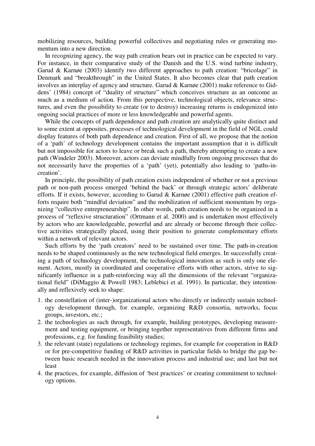mobilizing resources, building powerful collectives and negotiating rules or generating momentum into a new direction.

In recognizing agency, the way path creation bears out in practice can be expected to vary. For instance, in their comparative study of the Danish and the U.S. wind turbine industry, Garud & Karnøe (2003) identify two different approaches to path creation: "bricolage" in Denmark and "breakthrough" in the United States. It also becomes clear that path creation involves an interplay of agency and structure. Garud & Karnøe (2001) make reference to Giddens' (1984) concept of "duality of structure" which conceives structure as an outcome as much as a medium of action. From this perspective, technological objects, relevance structures, and even the possibility to create (or to destroy) increasing returns is endogenized into ongoing social practices of more or less knowledgeable and powerful agents.

While the concepts of path dependence and path creation are analytically quite distinct and to some extent at opposites, processes of technological development in the field of NGL could display features of both path dependence and creation. First of all, we propose that the notion of a 'path' of technology development contains the important assumption that it is difficult but not impossible for actors to leave or break such a path, thereby attempting to create a new path (Windeler 2003). Moreover, actors can deviate mindfully from ongoing processes that do not necessarily have the properties of a 'path' (yet), potentially also leading to 'paths-increation'.

In principle, the possibility of path creation exists independent of whether or not a previous path or non-path process emerged 'behind the back' or through strategic actors' deliberate efforts. If it exists, however, according to Garud & Karnøe (2001) effective path creation efforts require both "mindful deviation" and the mobilization of sufficient momentum by organizing "collective entrepreneurship". In other words, path creation needs to be organized in a process of "reflexive structuration" (Ortmann et al. 2000) and is undertaken most effectively by actors who are knowledgeable, powerful and are already or become through their collective activities strategically placed, using their position to generate complementary efforts within a network of relevant actors.

Such efforts by the 'path creators' need to be sustained over time. The path-in-creation needs to be shaped continuously as the new technological field emerges. In successfully creating a path of technology development, the technological innovation as such is only one element. Actors, mostly in coordinated and cooperative efforts with other actors, strive to significantly influence in a path-reinforcing way all the dimensions of the relevant "organizational field" (DiMaggio & Powell 1983; Leblebici et al. 1991). In particular, they intentionally and reflexively seek to shape:

- 1. the constellation of (inter-)organizational actors who directly or indirectly sustain technology development through, for example, organizing R&D consortia, networks, focus groups, investors, etc.;
- 2. the technologies as such through, for example, building prototypes, developing measurement and testing equipment, or bringing together representatives from different firms and professions, e.g. for funding feasibility studies;
- 3. the relevant (state) regulations or technology regimes, for example for cooperation in R&D or for pre-competitive funding of R&D activities in particular fields to bridge the gap between basic research needed in the innovation process and industrial use; and last but not least
- 4. the practices, for example, diffusion of 'best practices' or creating commitment to technology options.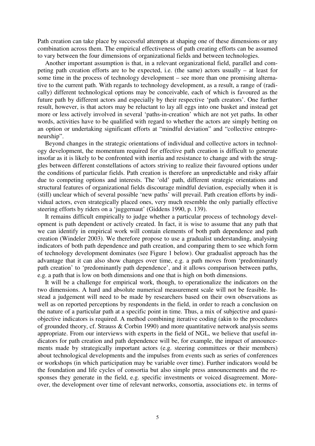Path creation can take place by successful attempts at shaping one of these dimensions or any combination across them. The empirical effectiveness of path creating efforts can be assumed to vary between the four dimensions of organizational fields and between technologies.

Another important assumption is that, in a relevant organizational field, parallel and competing path creation efforts are to be expected, i.e. (the same) actors usually – at least for some time in the process of technology development – see more than one promising alternative to the current path. With regards to technology development, as a result, a range of (radically) different technological options may be conceivable, each of which is favoured as the future path by different actors and especially by their respective 'path creators'. One further result, however, is that actors may be reluctant to lay all eggs into one basket and instead get more or less actively involved in several 'paths-in-creation' which are not yet paths. In other words, activities have to be qualified with regard to whether the actors are simply betting on an option or undertaking significant efforts at "mindful deviation" and "collective entrepreneurship".

Beyond changes in the strategic orientations of individual and collective actors in technology development, the momentum required for effective path creation is difficult to generate insofar as it is likely to be confronted with inertia and resistance to change and with the struggles between different constellations of actors striving to realize their favoured options under the conditions of particular fields. Path creation is therefore an unpredictable and risky affair due to competing options and interests. The 'old' path, different strategic orientations and structural features of organizational fields discourage mindful deviation, especially when it is (still) unclear which of several possible 'new paths' will prevail. Path creation efforts by individual actors, even strategically placed ones, very much resemble the only partially effective steering efforts by riders on a 'juggernaut' (Giddens 1990, p. 139).

It remains difficult empirically to judge whether a particular process of technology development is path dependent or actively created. In fact, it is wise to assume that any path that we can identify in empirical work will contain elements of both path dependence and path creation (Windeler 2003). We therefore propose to use a gradualist understanding, analysing indicators of both path dependence and path creation, and comparing them to see which form of technology development dominates (see Figure 1 below). Our gradualist approach has the advantage that it can also show changes over time, e.g. a path moves from 'predominantly path creation' to 'predominantly path dependence', and it allows comparison between paths, e.g. a path that is low on both dimensions and one that is high on both dimensions.

It will be a challenge for empirical work, though, to operationalize the indicators on the two dimensions. A hard and absolute numerical measurement scale will not be feasible. Instead a judgement will need to be made by researchers based on their own observations as well as on reported perceptions by respondents in the field, in order to reach a conclusion on the nature of a particular path at a specific point in time. Thus, a mix of subjective and quasiobjective indicators is required. A method combining iterative coding (akin to the procedures of grounded theory, cf. Strauss & Corbin 1990) and more quantitative network analysis seems appropriate. From our interviews with experts in the field of NGL, we believe that useful indicators for path creation and path dependence will be, for example, the impact of announcements made by strategically important actors (e.g. steering committees or their members) about technological developments and the impulses from events such as series of conferences or workshops (in which participation may be variable over time). Further indicators would be the foundation and life cycles of consortia but also simple press announcements and the responses they generate in the field, e.g. specific investments or voiced disagreement. Moreover, the development over time of relevant networks, consortia, associations etc. in terms of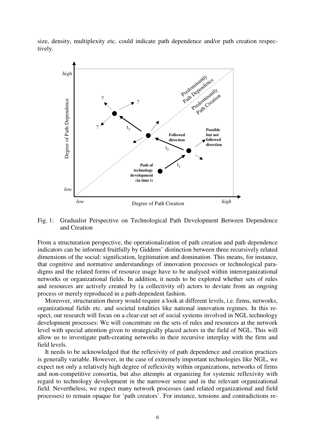size, density, multiplexity etc. could indicate path dependence and/or path creation respectively.



Fig. 1: Gradualist Perspective on Technological Path Development Between Dependence and Creation

From a structuration perspective, the operationalization of path creation and path dependence indicators can be informed fruitfully by Giddens' distinction between three recursively related dimensions of the social: signification, legitimation and domination. This means, for instance, that cognitive and normative understandings of innovation processes or technological paradigms and the related forms of resource usage have to be analysed within interorganizational networks or organizational fields. In addition, it needs to be explored whether sets of rules and resources are actively created by (a collectivity of) actors to deviate from an ongoing process or merely reproduced in a path-dependent fashion.

Moreover, structuration theory would require a look at different levels, i.e. firms, networks, organizational fields etc. and societal totalities like national innovation regimes. In this respect, our research will focus on a clear-cut set of social systems involved in NGL technology development processes: We will concentrate on the sets of rules and resources at the network level with special attention given to strategically placed actors in the field of NGL. This will allow us to investigate path-creating networks in their recursive interplay with the firm and field levels.

It needs to be acknowledged that the reflexivity of path dependence and creation practices is generally variable. However, in the case of extremely important technologies like NGL, we expect not only a relatively high degree of reflexivity within organizations, networks of firms and non-competitive consortia, but also attempts at organizing for systemic reflexivity with regard to technology development in the narrower sense and in the relevant organizational field. Nevertheless, we expect many network processes (and related organizational and field processes) to remain opaque for 'path creators'. For instance, tensions and contradictions re-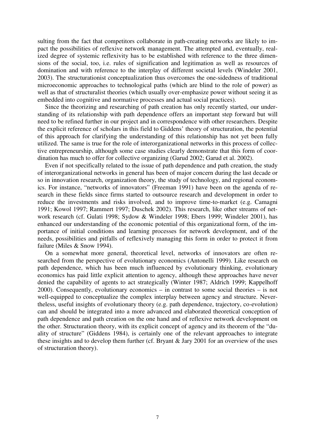sulting from the fact that competitors collaborate in path-creating networks are likely to impact the possibilities of reflexive network management. The attempted and, eventually, realized degree of systemic reflexivity has to be established with reference to the three dimensions of the social, too, i.e. rules of signification and legitimation as well as resources of domination and with reference to the interplay of different societal levels (Windeler 2001, 2003). The structurationist conceptualization thus overcomes the one-sidedness of traditional microeconomic approaches to technological paths (which are blind to the role of power) as well as that of structuralist theories (which usually over-emphasize power without seeing it as embedded into cognitive and normative processes and actual social practices).

Since the theorizing and researching of path creation has only recently started, our understanding of its relationship with path dependence offers an important step forward but will need to be refined further in our project and in correspondence with other researchers. Despite the explicit reference of scholars in this field to Giddens' theory of structuration, the potential of this approach for clarifying the understanding of this relationship has not yet been fully utilized. The same is true for the role of interorganizational networks in this process of collective entrepreneurship, although some case studies clearly demonstrate that this form of coordination has much to offer for collective organizing (Garud 2002; Garud et al. 2002).

Even if not specifically related to the issue of path dependence and path creation, the study of interorganizational networks in general has been of major concern during the last decade or so in innovation research, organization theory, the study of technology, and regional economics. For instance, "networks of innovators" (Freeman 1991) have been on the agenda of research in these fields since firms started to outsource research and development in order to reduce the investments and risks involved, and to improve time-to-market (e.g. Camagni 1991; Kowol 1997; Rammert 1997; Duschek 2002). This research, like other streams of network research (cf. Gulati 1998; Sydow & Windeler 1998; Ebers 1999; Windeler 2001), has enhanced our understanding of the economic potential of this organizational form, of the importance of initial conditions and learning processes for network development, and of the needs, possibilities and pitfalls of reflexively managing this form in order to protect it from failure (Miles & Snow 1994).

On a somewhat more general, theoretical level, networks of innovators are often researched from the perspective of evolutionary economics (Antonelli 1999). Like research on path dependence, which has been much influenced by evolutionary thinking, evolutionary economics has paid little explicit attention to agency, although these approaches have never denied the capability of agents to act strategically (Winter 1987; Aldrich 1999; Kappelhoff 2000). Consequently, evolutionary economics – in contrast to some social theories – is not well-equipped to conceptualize the complex interplay between agency and structure. Nevertheless, useful insights of evolutionary theory (e.g. path dependence, trajectory, co-evolution) can and should be integrated into a more advanced and elaborated theoretical conception of path dependence and path creation on the one hand and of reflexive network development on the other. Structuration theory, with its explicit concept of agency and its theorem of the "duality of structure" (Giddens 1984), is certainly one of the relevant approaches to integrate these insights and to develop them further (cf. Bryant & Jary 2001 for an overview of the uses of structuration theory).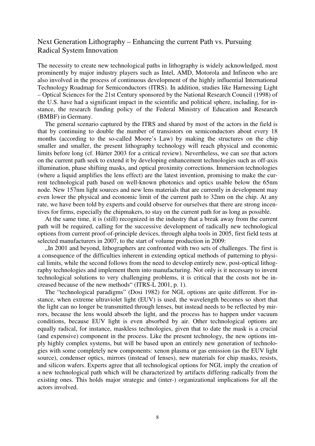### Next Generation Lithography – Enhancing the current Path vs. Pursuing Radical System Innovation

The necessity to create new technological paths in lithography is widely acknowledged, most prominently by major industry players such as Intel, AMD, Motorola and Infineon who are also involved in the process of continuous development of the highly influential International Technology Roadmap for Semiconductors (ITRS). In addition, studies like Harnessing Light – Optical Sciences for the 21st Century sponsored by the National Research Council (1998) of the U.S. have had a significant impact in the scientific and political sphere, including, for instance, the research funding policy of the Federal Ministry of Education and Research (BMBF) in Germany.

The general scenario captured by the ITRS and shared by most of the actors in the field is that by continuing to double the number of transistors on semiconductors about every 18 months (according to the so-called Moore's Law) by making the structures on the chip smaller and smaller, the present lithography technology will reach physical and economic limits before long (cf. Hürter 2003 for a critical review). Nevertheless, we can see that actors on the current path seek to extend it by developing enhancement technologies such as off-axis illumination, phase shifting masks, and optical proximity corrections. Immersion technologies (where a liquid amplifies the lens effect) are the latest invention, promising to make the current technological path based on well-known photonics and optics usable below the 65nm node. New 157nm light sources and new lens materials that are currently in development may even lower the physical and economic limit of the current path to 32nm on the chip. At any rate, we have been told by experts and could observe for ourselves that there are strong incentives for firms, especially the chipmakers, to stay on the current path for as long as possible.

At the same time, it is (still) recognized in the industry that a break away from the current path will be required, calling for the successive development of radically new technological options from current proof-of-principle devices, through alpha tools in 2005, first field tests at selected manufacturers in 2007, to the start of volume production in 2009:

..In 2001 and beyond, lithographers are confronted with two sets of challenges. The first is a consequence of the difficulties inherent in extending optical methods of patterning to physical limits, while the second follows from the need to develop entirely new, post-optical lithography technologies and implement them into manufacturing. Not only is it necessary to invent technological solutions to very challenging problems, it is critical that the costs not be increased because of the new methods" (ITRS-L 2001, p. 1).

The "technological paradigms" (Dosi 1982) for NGL options are quite different. For instance, when extreme ultraviolet light (EUV) is used, the wavelength becomes so short that the light can no longer be transmitted through lenses, but instead needs to be reflected by mirrors, because the lens would absorb the light, and the process has to happen under vacuum conditions, because EUV light is even absorbed by air. Other technological options are equally radical, for instance, maskless technologies, given that to date the mask is a crucial (and expensive) component in the process. Like the present technology, the new options imply highly complex systems, but will be based upon an entirely new generation of technologies with some completely new components: xenon plasma or gas emission (as the EUV light source), condenser optics, mirrors (instead of lenses), new materials for chip masks, resists, and silicon wafers. Experts agree that all technological options for NGL imply the creation of a new technological path which will be characterized by artifacts differing radically from the existing ones. This holds major strategic and (inter-) organizational implications for all the actors involved.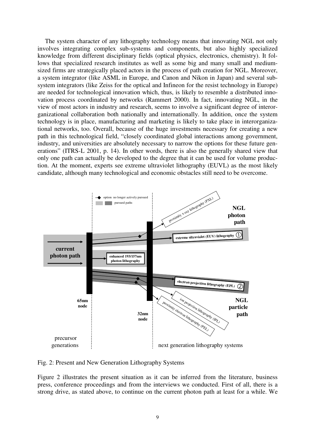The system character of any lithography technology means that innovating NGL not only involves integrating complex sub-systems and components, but also highly specialized knowledge from different disciplinary fields (optical physics, electronics, chemistry). It follows that specialized research institutes as well as some big and many small and mediumsized firms are strategically placed actors in the process of path creation for NGL. Moreover, a system integrator (like ASML in Europe, and Canon and Nikon in Japan) and several subsystem integrators (like Zeiss for the optical and Infineon for the resist technology in Europe) are needed for technological innovation which, thus, is likely to resemble a distributed innovation process coordinated by networks (Rammert 2000). In fact, innovating NGL, in the view of most actors in industry and research, seems to involve a significant degree of interorganizational collaboration both nationally and internationally. In addition, once the system technology is in place, manufacturing and marketing is likely to take place in interorganizational networks, too. Overall, because of the huge investments necessary for creating a new path in this technological field, "closely coordinated global interactions among government, industry, and universities are absolutely necessary to narrow the options for these future generations" (ITRS-L 2001, p. 14). In other words, there is also the generally shared view that only one path can actually be developed to the degree that it can be used for volume production. At the moment, experts see extreme ultraviolet lithography (EUVL) as the most likely candidate, although many technological and economic obstacles still need to be overcome.



Fig. 2: Present and New Generation Lithography Systems

Figure 2 illustrates the present situation as it can be inferred from the literature, business press, conference proceedings and from the interviews we conducted. First of all, there is a strong drive, as stated above, to continue on the current photon path at least for a while. We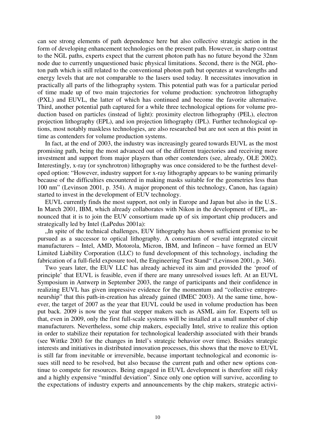can see strong elements of path dependence here but also collective strategic action in the form of developing enhancement technologies on the present path. However, in sharp contrast to the NGL paths, experts expect that the current photon path has no future beyond the 32nm node due to currently unquestioned basic physical limitations. Second, there is the NGL photon path which is still related to the conventional photon path but operates at wavelengths and energy levels that are not comparable to the lasers used today. It necessitates innovation in practically all parts of the lithography system. This potential path was for a particular period of time made up of two main trajectories for volume production: synchrotron lithography (PXL) and EUVL, the latter of which has continued and become the favorite alternative. Third, another potential path captured for a while three technological options for volume production based on particles (instead of light): proximity electron lithography (PEL), electron projection lithography (EPL), and ion projection lithography (IPL). Further technological options, most notably maskless technologies, are also researched but are not seen at this point in time as contenders for volume production systems.

In fact, at the end of 2003, the industry was increasingly geared towards EUVL as the most promising path, being the most advanced out of the different trajectories and receiving more investment and support from major players than other contenders (see, already, OLE 2002). Interestingly, x-ray (or synchrotron) lithography was once considered to be the furthest developed option: "However, industry support for x-ray lithography appears to be waning primarily because of the difficulties encountered in making masks suitable for the geometries less than 100 nm" (Levinson 2001, p. 354). A major proponent of this technology, Canon, has (again) started to invest in the development of EUV technology.

EUVL currently finds the most support, not only in Europe and Japan but also in the U.S.. In March 2001, IBM, which already collaborates with Nikon in the development of EPL, announced that it is to join the EUV consortium made up of six important chip producers and strategically led by Intel (LaPedus 2001a):

In spite of the technical challenges, EUV lithography has shown sufficient promise to be pursued as a successor to optical lithography. A consortium of several integrated circuit manufacturers – Intel, AMD, Motorola, Micron, IBM, and Infineon – have formed an EUV Limited Liability Corporation (LLC) to fund development of this technology, including the fabrication of a full-field exposure tool, the Engineering Test Stand" (Levinson 2001, p. 346).

Two years later, the EUV LLC has already achieved its aim and provided the 'proof of principle' that EUVL is feasible, even if there are many unresolved issues left. At an EUVL Symposium in Antwerp in September 2003, the range of participants and their confidence in realizing EUVL has given impressive evidence for the momentum and "collective entrepreneurship" that this path-in-creation has already gained (IMEC 2003). At the same time, however, the target of 2007 as the year that EUVL could be used in volume production has been put back. 2009 is now the year that stepper makers such as ASML aim for. Experts tell us that, even in 2009, only the first full-scale systems will be installed at a small number of chip manufacturers. Nevertheless, some chip makers, especially Intel, strive to realize this option in order to stabilize their reputation for technological leadership associated with their brands (see Wittke 2003 for the changes in Intel's strategic behavior over time). Besides strategic interests and initiatives in distributed innovation processes, this shows that the move to EUVL is still far from inevitable or irreversible, because important technological and economic issues still need to be resolved, but also because the current path and other new options continue to compete for resources. Being engaged in EUVL development is therefore still risky and a highly expensive "mindful deviation". Since only one option will survive, according to the expectations of industry experts and announcements by the chip makers, strategic activi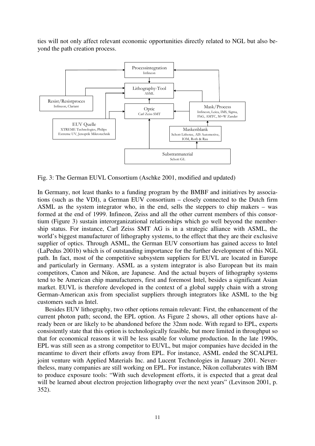ties will not only affect relevant economic opportunities directly related to NGL but also beyond the path creation process.



Fig. 3: The German EUVL Consortium (Aschke 2001, modified and updated)

In Germany, not least thanks to a funding program by the BMBF and initiatives by associations (such as the VDI), a German EUV consortium – closely connected to the Dutch firm ASML as the system integrator who, in the end, sells the steppers to chip makers – was formed at the end of 1999. Infineon, Zeiss and all the other current members of this consortium (Figure 3) sustain interorganizational relationships which go well beyond the membership status. For instance, Carl Zeiss SMT AG is in a strategic alliance with ASML, the world's biggest manufacturer of lithography systems, to the effect that they are their exclusive supplier of optics. Through ASML, the German EUV consortium has gained access to Intel (LaPedus 2001b) which is of outstanding importance for the further development of this NGL path. In fact, most of the competitive subsystem suppliers for EUVL are located in Europe and particularly in Germany. ASML as a system integrator is also European but its main competitors, Canon and Nikon, are Japanese. And the actual buyers of lithography systems tend to be American chip manufacturers, first and foremost Intel, besides a significant Asian market. EUVL is therefore developed in the context of a global supply chain with a strong German-American axis from specialist suppliers through integrators like ASML to the big customers such as Intel.

Besides EUV lithography, two other options remain relevant: First, the enhancement of the current photon path; second, the EPL option. As Figure 2 shows, all other options have already been or are likely to be abandoned before the 32nm node. With regard to EPL, experts consistently state that this option is technologically feasible, but more limited in throughput so that for economical reasons it will be less usable for volume production. In the late 1990s, EPL was still seen as a strong competitor to EUVL, but major companies have decided in the meantime to divert their efforts away from EPL. For instance, ASML ended the SCALPEL joint venture with Applied Materials Inc. and Lucent Technologies in January 2001. Nevertheless, many companies are still working on EPL. For instance, Nikon collaborates with IBM to produce exposure tools: "With such development efforts, it is expected that a great deal will be learned about electron projection lithography over the next years" (Levinson 2001, p. 352).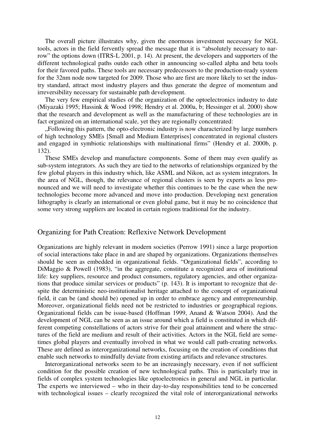The overall picture illustrates why, given the enormous investment necessary for NGL tools, actors in the field fervently spread the message that it is "absolutely necessary to narrow" the options down (ITRS-L 2001, p. 14). At present, the developers and supporters of the different technological paths outdo each other in announcing so-called alpha and beta tools for their favored paths. These tools are necessary predecessors to the production-ready system for the 32nm node now targeted for 2009. Those who are first are more likely to set the industry standard, attract most industry players and thus generate the degree of momentum and irreversibility necessary for sustainable path development.

The very few empirical studies of the organization of the optoelectronics industry to date (Miyazaki 1995; Hassink & Wood 1998; Hendry et al. 2000a, b; Hessinger et al. 2000) show that the research and development as well as the manufacturing of these technologies are in fact organized on an international scale, yet they are regionally concentrated:

"Following this pattern, the opto-electronic industry is now characterized by large numbers of high technology SMEs [Small and Medium Enterprises] concentrated in regional clusters and engaged in symbiotic relationships with multinational firms" (Hendry et al. 2000b, p. 132).

These SMEs develop and manufacture components. Some of them may even qualify as sub-system integrators. As such they are tied to the networks of relationships organized by the few global players in this industry which, like ASML and Nikon, act as system integrators. In the area of NGL, though, the relevance of regional clusters is seen by experts as less pronounced and we will need to investigate whether this continues to be the case when the new technologies become more advanced and move into production. Developing next generation lithography is clearly an international or even global game, but it may be no coincidence that some very strong suppliers are located in certain regions traditional for the industry.

### Organizing for Path Creation: Reflexive Network Development

Organizations are highly relevant in modern societies (Perrow 1991) since a large proportion of social interactions take place in and are shaped by organizations. Organizations themselves should be seen as embedded in organizational fields. "Organizational fields", according to DiMaggio & Powell (1983), "in the aggregate, constitute a recognized area of institutional life: key suppliers, resource and product consumers, regulatory agencies, and other organizations that produce similar services or products" (p. 143). It is important to recognize that despite the deterministic neo-institutionalist heritage attached to the concept of organizational field, it can be (and should be) opened up in order to embrace agency and entrepreneurship. Moreover, organizational fields need not be restricted to industries or geographical regions. Organizational fields can be issue-based (Hoffman 1999, Anand & Watson 2004). And the development of NGL can be seen as an issue around which a field is constituted in which different competing constellations of actors strive for their goal attainment and where the structures of the field are medium and result of their activities. Actors in the NGL field are sometimes global players and eventually involved in what we would call path-creating networks. These are defined as interorganizational networks, focusing on the creation of conditions that enable such networks to mindfully deviate from existing artifacts and relevance structures.

Interorganizational networks seem to be an increasingly necessary, even if not sufficient condition for the possible creation of new technological paths. This is particularly true in fields of complex system technologies like optoelectronics in general and NGL in particular. The experts we interviewed – who in their day-to-day responsibilities tend to be concerned with technological issues – clearly recognized the vital role of interorganizational networks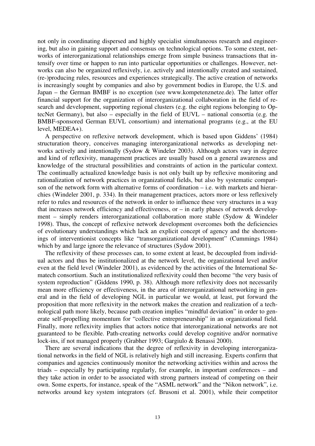not only in coordinating dispersed and highly specialist simultaneous research and engineering, but also in gaining support and consensus on technological options. To some extent, networks of interorganizational relationships emerge from simple business transactions that intensify over time or happen to run into particular opportunities or challenges. However, networks can also be organized reflexively, i.e. actively and intentionally created and sustained, (re-)producing rules, resources and experiences strategically. The active creation of networks is increasingly sought by companies and also by government bodies in Europe, the U.S. and Japan – the German BMBF is no exception (see www.kompetenznetze.de). The latter offer financial support for the organization of interorganizational collaboration in the field of research and development, supporting regional clusters (e.g. the eight regions belonging to OptecNet Germany), but also – especially in the field of EUVL – national consortia (e.g. the BMBF-sponsored German EUVL consortium) and international programs (e.g., at the EU level, MEDEA+).

A perspective on reflexive network development, which is based upon Giddens' (1984) structuration theory, conceives managing interorganizational networks as developing networks actively and intentionally (Sydow & Windeler 2003). Although actors vary in degree and kind of reflexivity, management practices are usually based on a general awareness and knowledge of the structural possibilities and constraints of action in the particular context. The continually actualized knowledge basis is not only built up by reflexive monitoring and rationalization of network practices in organizational fields, but also by systematic comparison of the network form with alternative forms of coordination – i.e. with markets and hierarchies (Windeler 2001, p. 334). In their management practices, actors more or less reflexively refer to rules and resources of the network in order to influence these very structures in a way that increases network efficiency and effectiveness, or – in early phases of network development – simply renders interorganizational collaboration more stable (Sydow & Windeler 1998). Thus, the concept of reflexive network development overcomes both the deficiencies of evolutionary understandings which lack an explicit concept of agency and the shortcomings of interventionist concepts like "transorganizational development" (Cummings 1984) which by and large ignore the relevance of structures (Sydow 2001).

The reflexivity of these processes can, to some extent at least, be decoupled from individual actors and thus be institutionalized at the network level, the organizational level and/or even at the field level (Windeler 2001), as evidenced by the activities of the International Sematech consortium. Such an institutionalized reflexivity could then become "the very basis of system reproduction" (Giddens 1990, p. 38). Although more reflexivity does not necessarily mean more efficiency or effectiveness, in the area of interorganizational networking in general and in the field of developing NGL in particular we would, at least, put forward the proposition that more reflexivity in the network makes the creation and realization of a technological path more likely, because path creation implies "mindful deviation" in order to generate self-propelling momentum for "collective entrepreneurship" in an organizational field. Finally, more reflexivity implies that actors notice that interorganizational networks are not guaranteed to be flexible. Path-creating networks could develop cognitive and/or normative lock-ins, if not managed properly (Grabher 1993; Gargiulo & Benassi 2000).

There are several indications that the degree of reflexivity in developing interorganizational networks in the field of NGL is relatively high and still increasing. Experts confirm that companies and agencies continuously monitor the networking activities within and across the triads – especially by participating regularly, for example, in important conferences – and they take action in order to be associated with strong partners instead of competing on their own. Some experts, for instance, speak of the "ASML network" and the "Nikon network", i.e. networks around key system integrators (cf. Brusoni et al. 2001), while their competitor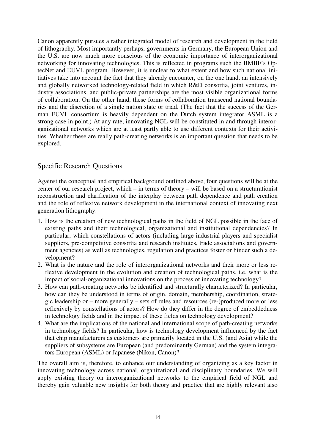Canon apparently pursues a rather integrated model of research and development in the field of lithography. Most importantly perhaps, governments in Germany, the European Union and the U.S. are now much more conscious of the economic importance of interorganizational networking for innovating technologies. This is reflected in programs such the BMBF's OptecNet and EUVL program. However, it is unclear to what extent and how such national initiatives take into account the fact that they already encounter, on the one hand, an intensively and globally networked technology-related field in which R&D consortia, joint ventures, industry associations, and public-private partnerships are the most visible organizational forms of collaboration. On the other hand, these forms of collaboration transcend national boundaries and the discretion of a single nation state or triad. (The fact that the success of the German EUVL consortium is heavily dependent on the Dutch system integrator ASML is a strong case in point.) At any rate, innovating NGL will be constituted in and through interorganizational networks which are at least partly able to use different contexts for their activities. Whether these are really path-creating networks is an important question that needs to be explored.

### Specific Research Questions

Against the conceptual and empirical background outlined above, four questions will be at the center of our research project, which – in terms of theory – will be based on a structurationist reconstruction and clarification of the interplay between path dependence and path creation and the role of reflexive network development in the international context of innovating next generation lithography:

- 1. How is the creation of new technological paths in the field of NGL possible in the face of existing paths and their technological, organizational and institutional dependencies? In particular, which constellations of actors (including large industrial players and specialist suppliers, pre-competitive consortia and research institutes, trade associations and government agencies) as well as technologies, regulation and practices foster or hinder such a development?
- 2. What is the nature and the role of interorganizational networks and their more or less reflexive development in the evolution and creation of technological paths, i.e. what is the impact of social-organizational innovations on the process of innovating technology?
- 3. How can path-creating networks be identified and structurally characterized? In particular, how can they be understood in terms of origin, domain, membership, coordination, strategic leadership or – more generally – sets of rules and resources (re-)produced more or less reflexively by constellations of actors? How do they differ in the degree of embeddedness in technology fields and in the impact of these fields on technology development?
- 4. What are the implications of the national and international scope of path-creating networks in technology fields? In particular, how is technology development influenced by the fact that chip manufacturers as customers are primarily located in the U.S. (and Asia) while the suppliers of subsystems are European (and predominantly German) and the system integrators European (ASML) or Japanese (Nikon, Canon)?

The overall aim is, therefore, to enhance our understanding of organizing as a key factor in innovating technology across national, organizational and disciplinary boundaries. We will apply existing theory on interorganizational networks to the empirical field of NGL and thereby gain valuable new insights for both theory and practice that are highly relevant also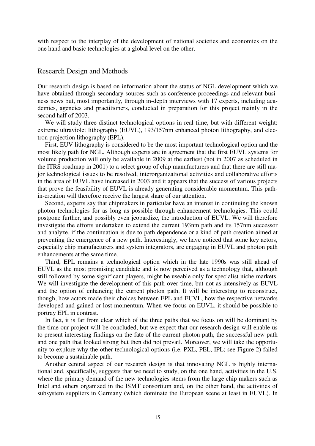with respect to the interplay of the development of national societies and economies on the one hand and basic technologies at a global level on the other.

### Research Design and Methods

Our research design is based on information about the status of NGL development which we have obtained through secondary sources such as conference proceedings and relevant business news but, most importantly, through in-depth interviews with 17 experts, including academics, agencies and practitioners, conducted in preparation for this project mainly in the second half of 2003.

We will study three distinct technological options in real time, but with different weight: extreme ultraviolet lithography (EUVL), 193/157nm enhanced photon lithography, and electron projection lithography (EPL).

First, EUV lithography is considered to be the most important technological option and the most likely path for NGL. Although experts are in agreement that the first EUVL systems for volume production will only be available in 2009 at the earliest (not in 2007 as scheduled in the ITRS roadmap in 2001) to a select group of chip manufacturers and that there are still major technological issues to be resolved, interorganizational activities and collaborative efforts in the area of EUVL have increased in 2003 and it appears that the success of various projects that prove the feasibility of EUVL is already generating considerable momentum. This pathin-creation will therefore receive the largest share of our attention.

Second, experts say that chipmakers in particular have an interest in continuing the known photon technologies for as long as possible through enhancement technologies. This could postpone further, and possibly even jeopardize, the introduction of EUVL. We will therefore investigate the efforts undertaken to extend the current 193nm path and its 157nm successor and analyze, if the continuation is due to path dependence or a kind of path creation aimed at preventing the emergence of a new path. Interestingly, we have noticed that some key actors, especially chip manufacturers and system integrators, are engaging in EUVL and photon path enhancements at the same time.

Third, EPL remains a technological option which in the late 1990s was still ahead of EUVL as the most promising candidate and is now perceived as a technology that, although still followed by some significant players, might be useable only for specialist niche markets. We will investigate the development of this path over time, but not as intensively as EUVL and the option of enhancing the current photon path. It will be interesting to reconstruct, though, how actors made their choices between EPL and EUVL, how the respective networks developed and gained or lost momentum. When we focus on EUVL, it should be possible to portray EPL in contrast.

In fact, it is far from clear which of the three paths that we focus on will be dominant by the time our project will be concluded, but we expect that our research design will enable us to present interesting findings on the fate of the current photon path, the successful new path and one path that looked strong but then did not prevail. Moreover, we will take the opportunity to explore why the other technological options (i.e. PXL, PEL, IPL; see Figure 2) failed to become a sustainable path.

Another central aspect of our research design is that innovating NGL is highly international and, specifically, suggests that we need to study, on the one hand, activities in the U.S. where the primary demand of the new technologies stems from the large chip makers such as Intel and others organized in the ISMT consortium and, on the other hand, the activities of subsystem suppliers in Germany (which dominate the European scene at least in EUVL). In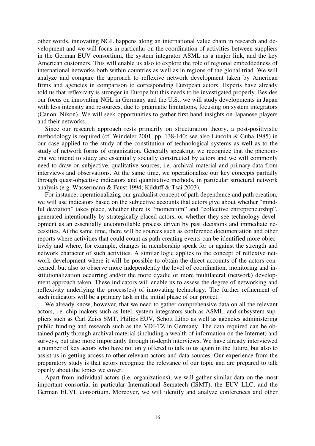other words, innovating NGL happens along an international value chain in research and development and we will focus in particular on the coordination of activities between suppliers in the German EUV consortium, the system integrator ASML as a major link, and the key American customers. This will enable us also to explore the role of regional embeddedness of international networks both within countries as well as in regions of the global triad. We will analyze and compare the approach to reflexive network development taken by American firms and agencies in comparison to corresponding European actors. Experts have already told us that reflexivity is stronger in Europe but this needs to be investigated properly. Besides our focus on innovating NGL in Germany and the U.S., we will study developments in Japan with less intensity and resources, due to pragmatic limitations, focusing on system integrators (Canon, Nikon). We will seek opportunities to gather first hand insights on Japanese players and their networks.

Since our research approach rests primarily on structuration theory, a post-positivistic methodology is required (cf. Windeler 2001, pp. 138-140; see also Lincoln & Guba 1985) in our case applied to the study of the constitution of technological systems as well as to the study of network forms of organization. Generally speaking, we recognize that the phenomena we intend to study are essentially socially constructed by actors and we will commonly need to draw on subjective, qualitative sources, i.e. archival material and primary data from interviews and observations. At the same time, we operationalize our key concepts partially through quasi-objective indicators and quantitative methods, in particular structural network analysis (e.g. Wassermann & Faust 1994; Kilduff & Tsai 2003).

For instance, operationalizing our gradualist concept of path dependence and path creation, we will use indicators based on the subjective accounts that actors give about whether "mindful deviation" takes place, whether there is "momentum" and "collective entrepreneurship", generated intentionally by strategically placed actors, or whether they see technology development as an essentially uncontrollable process driven by past decisions and immediate necessities. At the same time, there will be sources such as conference documentation and other reports where activities that could count as path-creating events can be identified more objectively and where, for example, changes in membership speak for or against the strength and network character of such activities. A similar logic applies to the concept of reflexive network development where it will be possible to obtain the direct accounts of the actors concerned, but also to observe more independently the level of coordination, monitoring and institutionalization occurring and/or the more dyadic or more multilateral (network) development approach taken. These indicators will enable us to assess the degree of networking and reflexivity underlying the process(es) of innovating technology. The further refinement of such indicators will be a primary task in the initial phase of our project.

We already know, however, that we need to gather comprehensive data on all the relevant actors, i.e. chip makers such as Intel, system integrators such as ASML, and subsystem suppliers such as Carl Zeiss SMT, Philips EUV, Schott Litho as well as agencies administering public funding and research such as the VDI-TZ in Germany. The data required can be obtained partly through archival material (including a wealth of information on the Internet) and surveys, but also more importantly through in-depth interviews. We have already interviewed a number of key actors who have not only offered to talk to us again in the future, but also to assist us in getting access to other relevant actors and data sources. Our experience from the preparatory study is that actors recognize the relevance of our topic and are prepared to talk openly about the topics we cover.

Apart from individual actors (i.e. organizations), we will gather similar data on the most important consortia, in particular International Sematech (ISMT), the EUV LLC, and the German EUVL consortium. Moreover, we will identify and analyze conferences and other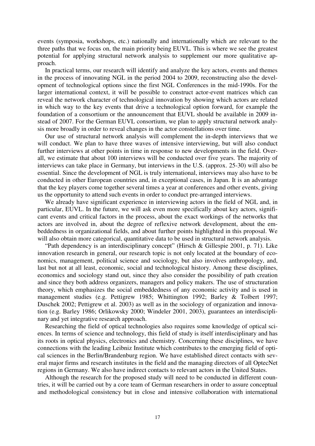events (symposia, workshops, etc.) nationally and internationally which are relevant to the three paths that we focus on, the main priority being EUVL. This is where we see the greatest potential for applying structural network analysis to supplement our more qualitative approach.

In practical terms, our research will identify and analyze the key actors, events and themes in the process of innovating NGL in the period 2004 to 2009, reconstructing also the development of technological options since the first NGL Conferences in the mid-1990s. For the larger international context, it will be possible to construct actor-event matrices which can reveal the network character of technological innovation by showing which actors are related in which way to the key events that drive a technological option forward, for example the foundation of a consortium or the announcement that EUVL should be available in 2009 instead of 2007. For the German EUVL consortium, we plan to apply structural network analysis more broadly in order to reveal changes in the actor constellations over time.

Our use of structural network analysis will complement the in-depth interviews that we will conduct. We plan to have three waves of intensive interviewing, but will also conduct further interviews at other points in time in response to new developments in the field. Overall, we estimate that about 100 interviews will be conducted over five years. The majority of interviews can take place in Germany, but interviews in the U.S. (approx. 25-30) will also be essential. Since the development of NGL is truly international, interviews may also have to be conducted in other European countries and, in exceptional cases, in Japan. It is an advantage that the key players come together several times a year at conferences and other events, giving us the opportunity to attend such events in order to conduct pre-arranged interviews.

We already have significant experience in interviewing actors in the field of NGL and, in particular, EUVL. In the future, we will ask even more specifically about key actors, significant events and critical factors in the process, about the exact workings of the networks that actors are involved in, about the degree of reflexive network development, about the embeddedness in organizational fields, and about further points highlighted in this proposal. We will also obtain more categorical, quantitative data to be used in structural network analysis.

"Path dependency is an interdisciplinary concept" (Hirsch & Gillespie 2001, p. 71). Like innovation research in general, our research topic is not only located at the boundary of economics, management, political science and sociology, but also involves anthropology, and, last but not at all least, economic, social and technological history. Among these disciplines, economics and sociology stand out, since they also consider the possibility of path creation and since they both address organizers, managers and policy makers. The use of structuration theory, which emphasizes the social embeddedness of any economic activity and is used in management studies (e.g. Pettigrew 1985; Whittington 1992; Barley & Tolbert 1997; Duschek 2002; Pettigrew et al. 2003) as well as in the sociology of organization and innovation (e.g. Barley 1986; Orlikowsky 2000; Windeler 2001, 2003), guarantees an interdisciplinary and yet integrative research approach.

Researching the field of optical technologies also requires some knowledge of optical sciences. In terms of science and technology, this field of study is itself interdisciplinary and has its roots in optical physics, electronics and chemistry. Concerning these disciplines, we have connections with the leading Leibniz Institute which contributes to the emerging field of optical sciences in the Berlin/Brandenburg region. We have established direct contacts with several major firms and research institutes in the field and the managing directors of all OptecNet regions in Germany. We also have indirect contacts to relevant actors in the United States.

Although the research for the proposed study will need to be conducted in different countries, it will be carried out by a core team of German researchers in order to assure conceptual and methodological consistency but in close and intensive collaboration with international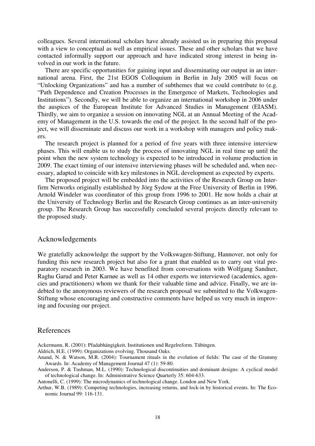colleagues. Several international scholars have already assisted us in preparing this proposal with a view to conceptual as well as empirical issues. These and other scholars that we have contacted informally support our approach and have indicated strong interest in being involved in our work in the future.

There are specific opportunities for gaining input and disseminating our output in an international arena. First, the 21st EGOS Colloquium in Berlin in July 2005 will focus on "Unlocking Organizations" and has a number of subthemes that we could contribute to (e.g. "Path Dependence and Creation Processes in the Emergence of Markets, Technologies and Institutions"). Secondly, we will be able to organize an international workshop in 2006 under the auspices of the European Institute for Advanced Studies in Management (EIASM). Thirdly, we aim to organize a session on innovating NGL at an Annual Meeting of the Academy of Management in the U.S. towards the end of the project. In the second half of the project, we will disseminate and discuss our work in a workshop with managers and policy makers.

The research project is planned for a period of five years with three intensive interview phases. This will enable us to study the process of innovating NGL in real time up until the point when the new system technology is expected to be introduced in volume production in 2009. The exact timing of our intensive interviewing phases will be scheduled and, when necessary, adapted to coincide with key milestones in NGL development as expected by experts.

The proposed project will be embedded into the activities of the Research Group on Interfirm Networks originally established by Jörg Sydow at the Free University of Berlin in 1996. Arnold Windeler was coordinator of this group from 1996 to 2001. He now holds a chair at the University of Technology Berlin and the Research Group continues as an inter-university group. The Research Group has successfully concluded several projects directly relevant to the proposed study.

#### Acknowledgements

We gratefully acknowledge the support by the Volkswagen-Stiftung, Hannover, not only for funding this new research project but also for a grant that enabled us to carry out vital preparatory research in 2003. We have benefited from conversations with Wolfgang Sandner, Raghu Garud and Peter Karnøe as well as 14 other experts we interviewed (academics, agencies and practitioners) whom we thank for their valuable time and advice. Finally, we are indebted to the anonymous reviewers of the research proposal we submitted to the Volkwagen-Stiftung whose encouraging and constructive comments have helped us very much in improving and focusing our project.

#### References

Ackermann, R. (2001): Pfadabhängigkeit, Institutionen und Regelreform. Tübingen.

- Aldrich, H.E. (1999): Organizations evolving. Thousand Oaks.
- Anand, N. & Watson, M.R. (2004): Tournament rituals in the evolution of fields: The case of the Grammy Awards. In: Academy of Management Journal 47 (1): 59-80.
- Anderson, P. & Tushman, M.L. (1990): Technological discontinuities and dominant designs: A cyclical model of technological change. In: Administrative Science Quarterly 35: 604-633.
- Antonelli, C. (1999): The microdynamics of technological change. London and New York.
- Arthur, W.B. (1989): Competing technologies, increasing returns, and lock-in by historical events. In: The Economic Journal 99: 116-131.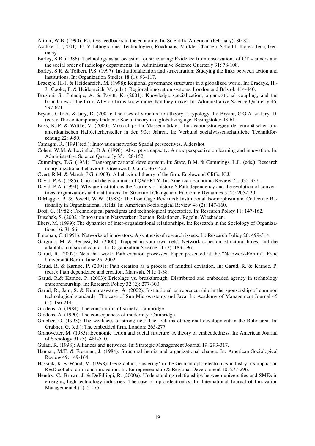Arthur, W.B. (1990): Positive feedbacks in the economy. In: Scientific American (February): 80-85.

- Aschke, L. (2001): EUV-Lithographie: Technologien, Roadmaps, Märkte, Chancen. Schott Lithotec, Jena, Germany.
- Barley, S.R. (1986): Technology as an occasion for structuring: Evidence from observations of CT scanners and the social order of radiology departments. In: Administrative Science Quarterly 31: 78-108.
- Barley, S.R. & Tolbert, P.S. (1997): Institutionalization and structuration: Studying the links between action and institutions. In: Organization Studies 18 (1): 93-117.
- Braczyk, H.-J. & Heidenreich, M. (1998): Regional governance structures in a globalized world. In: Braczyk, H.- J., Cooke, P. & Heidenreich, M. (eds.): Regional innovation systems. London and Bristol: 414-440.
- Brusoni, S., Prencipe, A. & Pavitt, K. (2001): Knowledge specialization, organizational coupling, and the boundaries of the firm: Why do firms know more than they make? In: Administrative Science Quarterly 46: 597-621.
- Bryant, C.G.A. & Jary, D. (2001): The uses of structuration theory: a typology. In: Bryant, C.G.A. & Jary, D. (eds.): The contemporary Giddens: Social theory in a globalizing age. Basingstoke: 43-61.
- Buss, K.-P. & Wittke, V. (2000): Mikrochips für Massenmärkte Innovationsstrategien der europäischen und amerikanischen Halbleiterhersteller in den 90er Jahren. In: Verbund sozialwissenschaftliche Technikforschung 22: 9-50.
- Camagni, R. (1991)(ed.): Innovation networks: Spatial perspectives. Aldershot.
- Cohen, W.M. & Levinthal, D.A. (1990): Absorptive capacity: A new perspective on learning and innovation. In: Administrative Science Quarterly 35: 128-152.
- Cummings, T.G. (1984): Transorganizational development. In: Staw, B.M. & Cummings, L.L. (eds.): Research in organizational behavior 6. Greenwich, Conn.: 367-422.
- Cyert, R.M. & March, J.G. (1963): A behavioral theory of the firm. Englewood Cliffs, N.J.
- David, P.A. (1985): Clio and the economics of QWERTY. In: American Economic Review 75: 332-337.
- David, P.A. (1994): Why are institutions the 'carriers of history'? Path dependency and the evolution of conventions, organizations and institutions. In: Structural Change and Economic Dynamics 5 (2): 205-220.
- DiMaggio, P. & Powell, W.W. (1983): The Iron Cage Revisited: Institutional Isomorphism and Collective Rationality in Organizational Fields. In: American Sociological Review 48 (2): 147-160.
- Dosi, G. (1982): Technological paradigms and technological trajectories. In: Research Policy 11: 147-162.
- Duschek, S. (2002): Innovation in Netzwerken: Renten, Relationen, Regeln. Wiesbaden.
- Ebers, M. (1999): The dynamics of inter-organizational relationships. In: Research in the Sociology of Organizations 16: 31-56.
- Freeman, C. (1991): Networks of innovators: A synthesis of research issues. In: Research Policy 20: 499-514.
- Gargiulo, M. & Benassi, M. (2000): Trapped in your own nets? Network cohesion, structural holes, and the adaptation of social capital. In: Organization Science 11 (2): 183-196.
- Garud, R. (2002): Nets that work: Path creation processes. Paper presented at the "Netzwerk-Forum", Freie Universität Berlin, June 25, 2002.
- Garud, R. & Karnøe, P. (2001): Path creation as a process of mindful deviation. In: Garud, R. & Karnøe, P. (eds.): Path dependence and creation. Mahwah, N.J.: 1-38.
- Garud, R.& Karnøe, P. (2003): Bricolage vs. breakthrough: Distributed and embedded agency in technology entrepreneurship. In: Research Policy 32 (2): 277-300.
- Garud, R., Jain, S. & Kumuraswamy, A. (2002): Institutional entrepreneurship in the sponsorship of common technological standards: The case of Sun Microsystems and Java. In: Academy of Management Journal 45 (1): 196-214.
- Giddens, A. (1984): The constitution of society. Cambridge.
- Giddens, A. (1990): The consequences of modernity. Cambridge.
- Grabher, G. (1993): The weakness of strong ties: The lock-ins of regional development in the Ruhr area. In: Grabher, G. (ed.): The embedded firm. London: 265-277.
- Granovetter, M. (1985): Economic action and social structure: A theory of embeddedness. In: American Journal of Sociology 91 (3): 481-510.
- Gulati, R. (1998): Alliances and networks. In: Strategic Management Journal 19: 293-317.
- Hannan, M.T. & Freeman, J. (1984): Structural inertia and organizational change. In: American Sociological Review 49: 149-164.
- Hassink, R. & Wood, M. (1998): Geographic ,clustering' in the German opto-electronics industry: its impact on R&D collaboration and innovation. In: Entrepreneurship & Regional Development 10: 277-296.
- Hendry, C., Brown, J. & DeFillippi, R. (2000a): Understanding relationships between universities and SMEs in emerging high technology industries: The case of opto-electronics. In: International Journal of Innovation Management 4 (1): 51-75.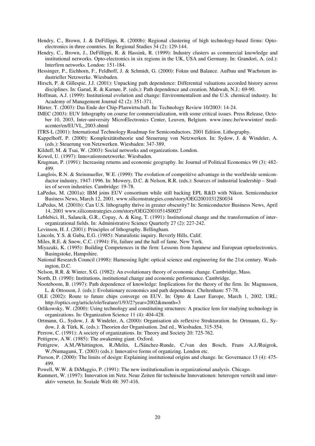- Hendry, C., Brown, J. & DeFillippi, R. (2000b): Regional clustering of high technology-based firms: Optoelectronics in three countries. In: Regional Studies 34 (2): 129-144.
- Hendry, C., Brown, J., DeFillippi, R. & Hassink, R. (1999): Industry clusters as commercial knowledge and institutional networks. Opto-electronics in six regions in the UK, USA and Germany. In: Grandori, A. (ed.): Interfirm networks. London: 151-184.
- Hessinger, P., Eichhorn, F., Feldhoff, J. & Schmidt, G. (2000): Fokus und Balance. Aufbau und Wachstum industrieller Netzwerke. Wiesbaden.
- Hirsch, P. & Gillespie, J.J. (2001): Unpacking path dependence: Differential valuations accorded history across disciplines. In: Garud, R. & Karnøe, P. (eds.): Path dependence and creation. Mahwah, N.J.: 69-90.
- Hoffman, A.J. (1999): Institutional evolution and change: Environmentalism and the U.S. chemical industry. In: Academy of Management Journal 42 (2): 351-371.
- Hürter, T. (2003): Das Ende der Chip-Planwirtschaft. In: Technology Review 10/2003: 14-24.
- IMEC (2003): EUV lithography on course for commercialization, with some critical issues. Press Release, October 10, 2003, Inter-university MicroElectronics Center, Leuven, Belgium. www.imec.be/wwwinter/ mediacenter/en/EUVL\_2003.shtml
- ITRS-L (2001): International Technology Roadmap for Semiconductors. 2001 Edition. Lithography.
- Kappelhoff, P. (2000): Komplexitätstheorie und Steuerung von Netzwerken. In: Sydow, J. & Windeler, A. (eds.): Steuerung von Netzwerken. Wiesbaden: 347-389.
- Kilduff, M. & Tsai, W. (2003): Social networks and organizations. London.
- Kowol, U. (1997): Innovationsnetzwerke. Wiesbaden.
- Krugman, P. (1991): Increasing returns and economic geography. In: Journal of Political Economics 99 (3): 482- 499.
- Langlois, R.N. & Steinmueller, W.E. (1999): The evolution of competitive advantage in the worldwide semiconductor industry, 1947-1996. In: Mowery, D.C. & Nelson, R.R. (eds.): Sources of industrial leadership – Studies of seven industries. Cambridge: 19-78.
- LaPedus, M. (2001a): IBM joins EUV consortium while still backing EPL R&D with Nikon. Semiconductor Business News, March 12, 2001. www.siliconstrategies.com/story/OEG20010312S0034
- LaPedus, M. (2001b): Can U.S. lithography thrive in greater obscurity? In: Semiconductor Business News, April 14, 2001 www.siliconstrategies.com/story/OEG20010514S0027
- Leblebici, H., Salancik, G.R., Copay, A. & King, T. (1991): Institutional change and the transformation of interorganizational fields. In: Administrative Science Quarterly 27 (2): 227-242.
- Levinson, H. J. (2001): Principles of lithography. Bellingham.
- Lincoln, Y.S. & Guba, E.G. (1985): Naturalistic inquiry. Beverly Hills, Calif.
- Miles, R.E. & Snow, C.C. (1994): Fit, failure and the hall of fame. New York.
- Miyazaki, K. (1995): Building Competences in the firm: Lessons from Japanese and European optoelectronics. Basingstoke, Hampshire.
- National Research Council (1998): Harnessing light: optical science and engineering for the 21st century. Washington, D.C.
- Nelson, R.R. & Winter, S.G. (1982): An evolutionary theory of economic change. Cambridge, Mass.
- North, D. (1990): Institutions, institutional change and economic performance. Cambridge.
- Nooteboom, B. (1997): Path dependence of knowledge: Implications for the theory of the firm. In: Magnusson, L. & Ottosson, J. (eds.): Evolutionary economics and path dependence. Cheltenham: 57-78.
- OLE (2002): Route to future chips converge on EUV. In: Opto & Laser Europe, March 1, 2002. URL: http://optics.org/article/ole/feature/1/93/2?year=2002&month=3
- Orlikowsky, W. (2000): Using technology and constituting structures: A practice lens for studying technology in organizations. In: Organization Science 11 (4): 404-428.
- Ortmann, G., Sydow, J. & Windeler, A. (2000): Organisation als reflexive Strukturation. In: Ortmann, G., Sydow, J. & Türk, K. (eds.): Theorien der Organisation. 2nd ed., Wiesbaden, 315-354.
- Perrow, C. (1991): A society of organizations. In: Theory and Society 20: 725-762.
- Pettigrew, A.W. (1985): The awakening giant. Oxford.
- Pettigrew, A.M./Whittington, R./Melin, L./Sánchez-Runde, C./van den Bosch, Frans A.J./Ruigrok, W./Numagami, T. (2003) (eds.): Innovative forms of organizing. London etc.
- Pierson, P. (2000): The limits of design: Explaining institutional origins and change. In: Governance 13 (4): 475- 499.
- Powell, W.W. & DiMaggio, P. (1991): The new institutionalism in organizational analysis. Chicago.
- Rammert, W. (1997): Innovation im Netz. Neue Zeiten für technische Innovationen: heterogen verteilt und interaktiv vernetzt. In: Soziale Welt 48: 397-416.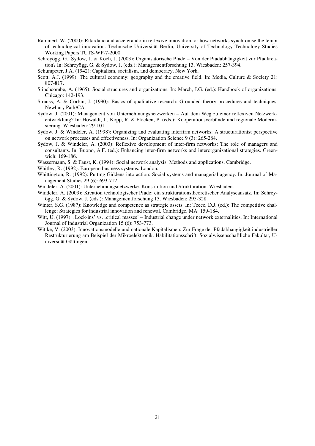- Rammert, W. (2000): Ritardano and accelerando in reflexive innovation, or how networks synchronise the tempi of technological innovation. Technische Universität Berlin, University of Technology Technology Studies Working Papers TUTS-WP-7-2000.
- Schreyögg, G., Sydow, J. & Koch, J. (2003): Organisatorische Pfade Von der Pfadabhängigkeit zur Pfadkreation? In: Schreyögg, G. & Sydow, J. (eds.): Managementforschung 13. Wiesbaden: 257-394.
- Schumpeter, J.A. (1942): Capitalism, socialism, and democracy. New York.
- Scott, A.J. (1999): The cultural economy: geography and the creative field. In: Media, Culture & Society 21: 807-817.
- Stinchcombe, A. (1965): Social structures and organizations. In: March, J.G. (ed.): Handbook of organizations. Chicago: 142-193.
- Strauss, A. & Corbin, J. (1990): Basics of qualitative research: Grounded theory procedures and techniques. Newbury Park/CA.
- Sydow, J. (2001): Management von Unternehmungsnetzwerken Auf dem Weg zu einer reflexiven Netzwerkentwicklung? In: Howaldt, J., Kopp, R. & Flocken, P. (eds.): Kooperationsverbünde und regionale Modernisierung. Wiesbaden: 79-101.
- Sydow, J. & Windeler, A. (1998): Organizing and evaluating interfirm networks: A structurationist perspective on network processes and effectiveness. In: Organization Science 9 (3): 265-284.
- Sydow, J. & Windeler, A. (2003): Reflexive development of inter-firm networks: The role of managers and consultants. In: Buono, A.F. (ed.): Enhancing inter-firm networks and interorganizational strategies. Greenwich: 169-186.
- Wassermann, S. & Faust, K. (1994): Social network analysis: Methods and applications. Cambridge.

Whitley, R. (1992): European business systems. London.

- Whittington, R. (1992): Putting Giddens into action: Social systems and managerial agency. In: Journal of Management Studies 29 (6): 693-712.
- Windeler, A. (2001): Unternehmungsnetzwerke. Konstitution und Strukturation. Wiesbaden.
- Windeler, A. (2003): Kreation technologischer Pfade: ein strukturationstheoretischer Analyseansatz. In: Schreyögg, G. & Sydow, J. (eds.): Managementforschung 13. Wiesbaden: 295-328.
- Winter, S.G. (1987): Knowledge and competence as strategic assets. In: Teece, D.J. (ed.): The competitive challenge: Strategies for industrial innovation and renewal. Cambridge, MA: 159-184.
- Witt, U. (1997): ,Lock-ins' vs., critical masses' Industrial change under network externalities. In: International Journal of Industrial Organization 15 (6): 753-773.
- Wittke, V. (2003): Innovationsmodelle und nationale Kapitalismen: Zur Frage der Pfadabhängigkeit industrieller Restrukturierung am Beispiel der Mikroelektronik. Habilitationsschrift. Sozialwissenschaftliche Fakultät, Universität Göttingen.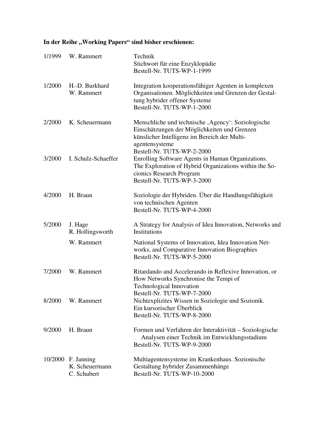# In der Reihe "Working Papers" sind bisher erschienen:

| 1/1999  | W. Rammert                                  | Technik<br>Stichwort für eine Enzyklopädie<br>Bestell-Nr. TUTS-WP-1-1999                                                                                                                           |
|---------|---------------------------------------------|----------------------------------------------------------------------------------------------------------------------------------------------------------------------------------------------------|
| 1/2000  | H.-D. Burkhard<br>W. Rammert                | Integration kooperationsfähiger Agenten in komplexen<br>Organisationen. Möglichkeiten und Grenzen der Gestal-<br>tung hybrider offener Systeme<br>Bestell-Nr. TUTS-WP-1-2000                       |
| 2/2000  | K. Scheuermann                              | Menschliche und technische "Agency": Soziologische<br>Einschätzungen der Möglichkeiten und Grenzen<br>künslicher Intelligenz im Bereich der Multi-<br>agentensysteme<br>Bestell-Nr. TUTS-WP-2-2000 |
| 3/2000  | I. Schulz-Schaeffer                         | Enrolling Software Agents in Human Organizations.<br>The Exploration of Hybrid Organizations within the So-<br>cionics Research Program<br>Bestell-Nr. TUTS-WP-3-2000                              |
| 4/2000  | H. Braun                                    | Soziologie der Hybriden. Über die Handlungsfähigkeit<br>von technischen Agenten<br>Bestell-Nr. TUTS-WP-4-2000                                                                                      |
| 5/2000  | J. Hage<br>R. Hollingsworth                 | A Strategy for Analysis of Idea Innovation, Networks and<br><b>Institutions</b>                                                                                                                    |
|         | W. Rammert                                  | National Systems of Innovation, Idea Innovation Net-<br>works, and Comparative Innovation Biographies<br>Bestell-Nr. TUTS-WP-5-2000                                                                |
| 7/2000  | W. Rammert                                  | Ritardando and Accelerando in Reflexive Innovation, or<br>How Networks Synchronise the Tempi of<br><b>Technological Innovation</b>                                                                 |
| 8/2000  | W. Rammert                                  | Bestell-Nr. TUTS-WP-7-2000<br>Nichtexplizites Wissen in Soziologie und Sozionik.<br>Ein kursorischer Überblick<br>Bestell-Nr. TUTS-WP-8-2000                                                       |
| 9/2000  | H. Braun                                    | Formen und Verfahren der Interaktivität – Soziologische<br>Analysen einer Technik im Entwicklungsstadium<br>Bestell-Nr. TUTS-WP-9-2000                                                             |
| 10/2000 | F. Janning<br>K. Scheuermann<br>C. Schubert | Multiagentensysteme im Krankenhaus. Sozionische<br>Gestaltung hybrider Zusammenhänge<br>Bestell-Nr. TUTS-WP-10-2000                                                                                |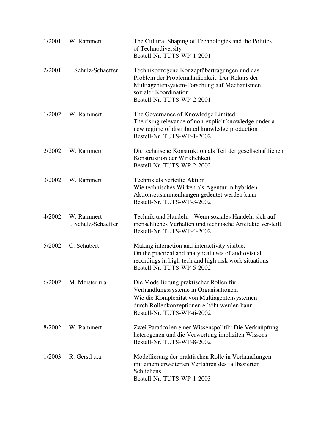| 1/2001 | W. Rammert                        | The Cultural Shaping of Technologies and the Politics<br>of Technodiversity<br>Bestell-Nr. TUTS-WP-1-2001                                                                                                      |
|--------|-----------------------------------|----------------------------------------------------------------------------------------------------------------------------------------------------------------------------------------------------------------|
| 2/2001 | I. Schulz-Schaeffer               | Technikbezogene Konzeptübertragungen und das<br>Problem der Problemähnlichkeit. Der Rekurs der<br>Multiagentensystem-Forschung auf Mechanismen<br>sozialer Koordination<br>Bestell-Nr. TUTS-WP-2-2001          |
| 1/2002 | W. Rammert                        | The Governance of Knowledge Limited:<br>The rising relevance of non-explicit knowledge under a<br>new regime of distributed knowledge production<br>Bestell-Nr. TUTS-WP-1-2002                                 |
| 2/2002 | W. Rammert                        | Die technische Konstruktion als Teil der gesellschaftlichen<br>Konstruktion der Wirklichkeit<br>Bestell-Nr. TUTS-WP-2-2002                                                                                     |
| 3/2002 | W. Rammert                        | Technik als verteilte Aktion<br>Wie technisches Wirken als Agentur in hybriden<br>Aktionszusammenhängen gedeutet werden kann<br>Bestell-Nr. TUTS-WP-3-2002                                                     |
| 4/2002 | W. Rammert<br>I. Schulz-Schaeffer | Technik und Handeln - Wenn soziales Handeln sich auf<br>menschliches Verhalten und technische Artefakte ver-teilt.<br>Bestell-Nr. TUTS-WP-4-2002                                                               |
| 5/2002 | C. Schubert                       | Making interaction and interactivity visible.<br>On the practical and analytical uses of audiovisual<br>recordings in high-tech and high-risk work situations<br>Bestell-Nr. TUTS-WP-5-2002                    |
| 6/2002 | M. Meister u.a.                   | Die Modellierung praktischer Rollen für<br>Verhandlungssysteme in Organisationen.<br>Wie die Komplexität von Multiagentensystemen<br>durch Rollenkonzeptionen erhöht werden kann<br>Bestell-Nr. TUTS-WP-6-2002 |
| 8/2002 | W. Rammert                        | Zwei Paradoxien einer Wissenspolitik: Die Verknüpfung<br>heterogenen und die Verwertung impliziten Wissens<br>Bestell-Nr. TUTS-WP-8-2002                                                                       |
| 1/2003 | R. Gerstl u.a.                    | Modellierung der praktischen Rolle in Verhandlungen<br>mit einem erweiterten Verfahren des fallbasierten<br>Schließens<br>Bestell-Nr. TUTS-WP-1-2003                                                           |